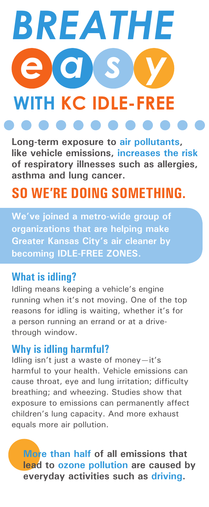# *BREATHE e a s y* **WITH KC IDLE-FREE**

**Long-term exposure to air pollutants, like vehicle emissions, increases the risk of respiratory illnesses such as allergies, asthma and lung cancer.**

# **SO WE'RE DOING SOMETHING.**

**We've joined a metro-wide group of organizations that are helping make Greater Kansas City's air cleaner by becoming IDLE-FREE ZONES.**

#### **What is idling?**

Idling means keeping a vehicle's engine running when it's not moving. One of the top reasons for idling is waiting, whether it's for a person running an errand or at a drivethrough window.

#### **Why is idling harmful?**

Idling isn't just a waste of money—it's harmful to your health. Vehicle emissions can cause throat, eye and lung irritation; difficulty breathing; and wheezing. Studies show that exposure to emissions can permanently affect children's lung capacity. And more exhaust equals more air pollution.

**More than half of all emissions that lead to ozone pollution are caused by everyday activities such as driving.**